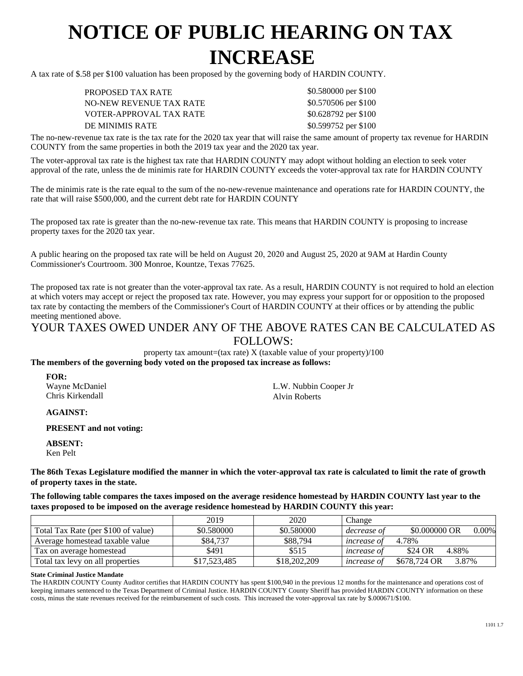## **NOTICE OF PUBLIC HEARING ON TAX INCREASE**

A tax rate of \$.58 per \$100 valuation has been proposed by the governing body of HARDIN COUNTY.

PROPOSED TAX RATE NO-NEW REVENUE TAX RATE VOTER-APPROVAL TAX RATE DE MINIMIS RATE \$0.599752 per \$100

\$0.580000 per \$100 \$0.570506 per \$100 \$0.628792 per \$100

The no-new-revenue tax rate is the tax rate for the 2020 tax year that will raise the same amount of property tax revenue for HARDIN COUNTY from the same properties in both the 2019 tax year and the 2020 tax year.

The voter-approval tax rate is the highest tax rate that HARDIN COUNTY may adopt without holding an election to seek voter approval of the rate, unless the de minimis rate for HARDIN COUNTY exceeds the voter-approval tax rate for HARDIN COUNTY

The de minimis rate is the rate equal to the sum of the no-new-revenue maintenance and operations rate for HARDIN COUNTY, the rate that will raise \$500,000, and the current debt rate for HARDIN COUNTY

The proposed tax rate is greater than the no-new-revenue tax rate. This means that HARDIN COUNTY is proposing to increase property taxes for the 2020 tax year.

A public hearing on the proposed tax rate will be held on August 20, 2020 and August 25, 2020 at 9AM at Hardin County Commissioner's Courtroom. 300 Monroe, Kountze, Texas 77625.

The proposed tax rate is not greater than the voter-approval tax rate. As a result, HARDIN COUNTY is not required to hold an election at which voters may accept or reject the proposed tax rate. However, you may express your support for or opposition to the proposed tax rate by contacting the members of the Commissioner's Court of HARDIN COUNTY at their offices or by attending the public meeting mentioned above.

## YOUR TAXES OWED UNDER ANY OF THE ABOVE RATES CAN BE CALCULATED AS FOLLOWS:

property tax amount=(tax rate)  $X$  (taxable value of your property)/100 **The members of the governing body voted on the proposed tax increase as follows:**

**FOR:** Wayne McDaniel Chris Kirkendall

L.W. Nubbin Cooper Jr Alvin Roberts

**AGAINST:**

**PRESENT and not voting:**

**ABSENT:** Ken Pelt

**The 86th Texas Legislature modified the manner in which the voter-approval tax rate is calculated to limit the rate of growth of property taxes in the state.**

**The following table compares the taxes imposed on the average residence homestead by HARDIN COUNTY last year to the taxes proposed to be imposed on the average residence homestead by HARDIN COUNTY this year:**

|                                     | 2019         | 2020         | Change             |                           |
|-------------------------------------|--------------|--------------|--------------------|---------------------------|
| Total Tax Rate (per \$100 of value) | \$0.580000   | \$0.580000   | decrease of        | \$0,000000 OR<br>$0.00\%$ |
| Average homestead taxable value     | \$84,737     | \$88,794     | <i>increase of</i> | 4.78%                     |
| Tax on average homestead            | \$491        | \$515        | <i>increase of</i> | \$24 OR<br>4.88%          |
| Total tax levy on all properties    | \$17,523,485 | \$18,202,209 | <i>increase of</i> | \$678,724 OR<br>3.87%     |

## **State Criminal Justice Mandate**

The HARDIN COUNTY County Auditor certifies that HARDIN COUNTY has spent \$100,940 in the previous 12 months for the maintenance and operations cost of keeping inmates sentenced to the Texas Department of Criminal Justice. HARDIN COUNTY County Sheriff has provided HARDIN COUNTY information on these costs, minus the state revenues received for the reimbursement of such costs. This increased the voter-approval tax rate by \$.000671/\$100.